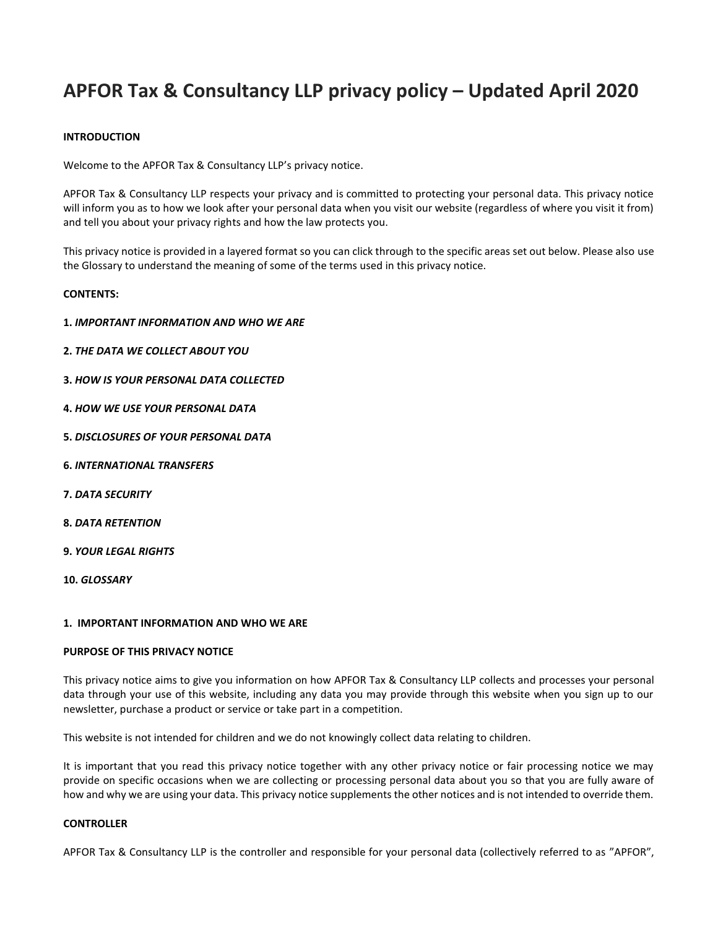# **APFOR Tax & Consultancy LLP privacy policy – Updated April 2020**

# **INTRODUCTION**

Welcome to the APFOR Tax & Consultancy LLP's privacy notice.

APFOR Tax & Consultancy LLP respects your privacy and is committed to protecting your personal data. This privacy notice will inform you as to how we look after your personal data when you visit our website (regardless of where you visit it from) and tell you about your privacy rights and how the law protects you.

This privacy notice is provided in a layered format so you can click through to the specific areas set out below. Please also use the Glossary to understand the meaning of some of the terms used in this privacy notice.

#### **CONTENTS:**

- **1.** *IMPORTANT INFORMATION AND WHO WE ARE*
- **2.** *THE DATA WE COLLECT ABOUT YOU*
- **3.** *HOW IS YOUR PERSONAL DATA COLLECTED*
- **4.** *HOW WE USE YOUR PERSONAL DATA*
- **5.** *DISCLOSURES OF YOUR PERSONAL DATA*
- **6.** *INTERNATIONAL TRANSFERS*
- **7.** *DATA SECURITY*
- **8.** *DATA RETENTION*
- **9.** *YOUR LEGAL RIGHTS*
- **10.** *GLOSSARY*

#### **1. IMPORTANT INFORMATION AND WHO WE ARE**

## **PURPOSE OF THIS PRIVACY NOTICE**

This privacy notice aims to give you information on how APFOR Tax & Consultancy LLP collects and processes your personal data through your use of this website, including any data you may provide through this website when you sign up to our newsletter, purchase a product or service or take part in a competition.

This website is not intended for children and we do not knowingly collect data relating to children.

It is important that you read this privacy notice together with any other privacy notice or fair processing notice we may provide on specific occasions when we are collecting or processing personal data about you so that you are fully aware of how and why we are using your data. This privacy notice supplements the other notices and is not intended to override them.

#### **CONTROLLER**

APFOR Tax & Consultancy LLP is the controller and responsible for your personal data (collectively referred to as "APFOR",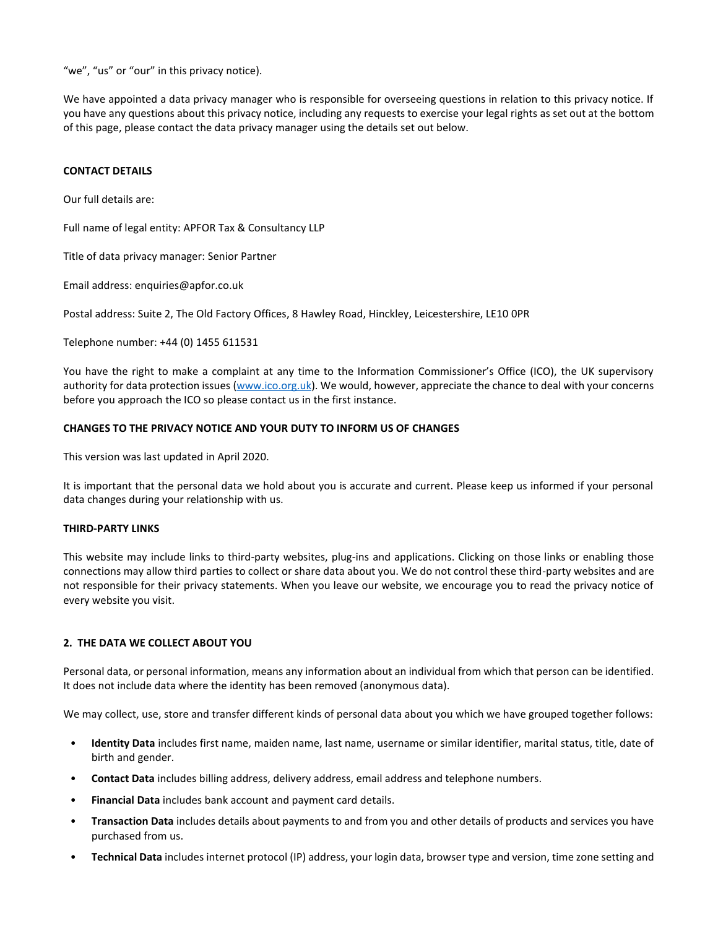"we", "us" or "our" in this privacy notice).

We have appointed a data privacy manager who is responsible for overseeing questions in relation to this privacy notice. If you have any questions about this privacy notice, including any requests to exercise your legal rights as set out at the bottom of this page, please contact the data privacy manager using the details set out below.

## <span id="page-1-0"></span>**CONTACT DETAILS**

Our full details are:

Full name of legal entity: APFOR Tax & Consultancy LLP

Title of data privacy manager: Senior Partner

Email address: enquiries@apfor.co.uk

Postal address: Suite 2, The Old Factory Offices, 8 Hawley Road, Hinckley, Leicestershire, LE10 0PR

Telephone number: +44 (0) 1455 611531

You have the right to make a complaint at any time to the Information Commissioner's Office (ICO), the UK supervisory authority for data protection issues [\(www.ico.org.uk\)](http://www.ico.org.uk/). We would, however, appreciate the chance to deal with your concerns before you approach the ICO so please contact us in the first instance.

#### **CHANGES TO THE PRIVACY NOTICE AND YOUR DUTY TO INFORM US OF CHANGES**

This version was last updated in April 2020.

It is important that the personal data we hold about you is accurate and current. Please keep us informed if your personal data changes during your relationship with us.

#### **THIRD-PARTY LINKS**

This website may include links to third-party websites, plug-ins and applications. Clicking on those links or enabling those connections may allow third parties to collect or share data about you. We do not control these third-party websites and are not responsible for their privacy statements. When you leave our website, we encourage you to read the privacy notice of every website you visit.

#### **2. THE DATA WE COLLECT ABOUT YOU**

Personal data, or personal information, means any information about an individual from which that person can be identified. It does not include data where the identity has been removed (anonymous data).

We may collect, use, store and transfer different kinds of personal data about you which we have grouped together follows:

- **Identity Data** includes first name, maiden name, last name, username or similar identifier, marital status, title, date of birth and gender.
- **Contact Data** includes billing address, delivery address, email address and telephone numbers.
- **Financial Data** includes bank account and payment card details.
- **Transaction Data** includes details about payments to and from you and other details of products and services you have purchased from us.
- **Technical Data** includes internet protocol (IP) address, your login data, browser type and version, time zone setting and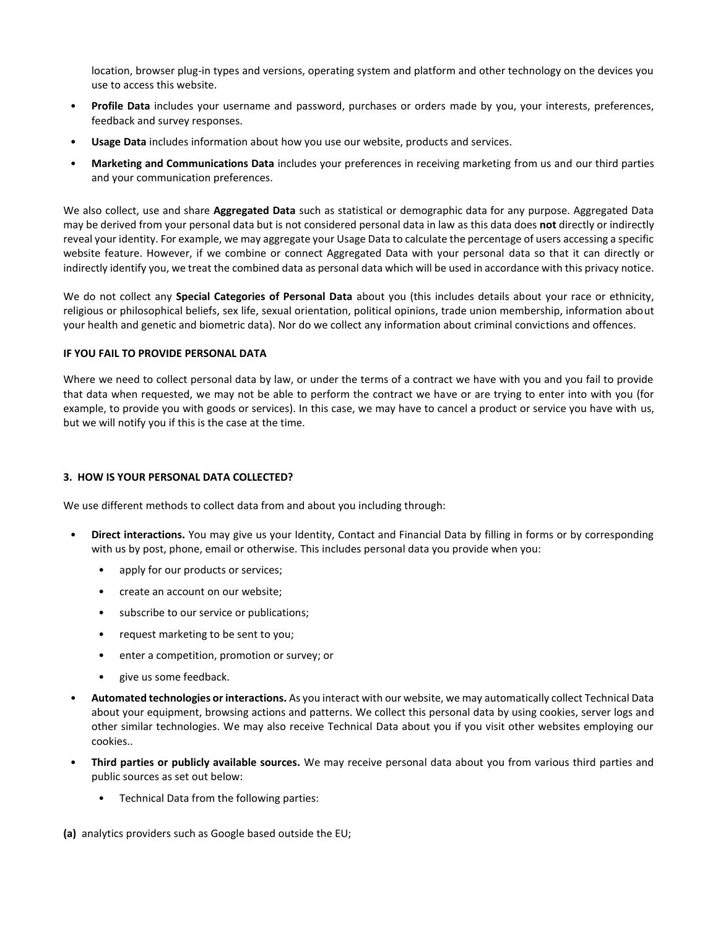location, browser plug-in types and versions, operating system and platform and other technology on the devices you use to access this website.

- **Profile Data** includes your username and password, purchases or orders made by you, your interests, preferences, feedback and survey responses.
- **Usage Data** includes information about how you use our website, products and services.
- **Marketing and Communications Data** includes your preferences in receiving marketing from us and our third parties and your communication preferences.

We also collect, use and share **Aggregated Data** such as statistical or demographic data for any purpose. Aggregated Data may be derived from your personal data but is not considered personal data in law as this data does **not** directly or indirectly reveal your identity. For example, we may aggregate your Usage Data to calculate the percentage of users accessing a specific website feature. However, if we combine or connect Aggregated Data with your personal data so that it can directly or indirectly identify you, we treat the combined data as personal data which will be used in accordance with this privacy notice.

We do not collect any **Special Categories of Personal Data** about you (this includes details about your race or ethnicity, religious or philosophical beliefs, sex life, sexual orientation, political opinions, trade union membership, information about your health and genetic and biometric data). Nor do we collect any information about criminal convictions and offences.

# **IF YOU FAIL TO PROVIDE PERSONAL DATA**

Where we need to collect personal data by law, or under the terms of a contract we have with you and you fail to provide that data when requested, we may not be able to perform the contract we have or are trying to enter into with you (for example, to provide you with goods or services). In this case, we may have to cancel a product or service you have with us, but we will notify you if this is the case at the time.

#### **3. HOW IS YOUR PERSONAL DATA COLLECTED?**

We use different methods to collect data from and about you including through:

- **Direct interactions.** You may give us your Identity, Contact and Financial Data by filling in forms or by corresponding with us by post, phone, email or otherwise. This includes personal data you provide when you:
	- apply for our products or services;
	- create an account on our website;
	- subscribe to our service or publications;
	- request marketing to be sent to you;
	- enter a competition, promotion or survey; or
	- give us some feedback.
- **Automated technologies or interactions.** As you interact with our website, we may automatically collect Technical Data about your equipment, browsing actions and patterns. We collect this personal data by using cookies, server logs and other similar technologies. We may also receive Technical Data about you if you visit other websites employing our cookies..
- **Third parties or publicly available sources.** We may receive personal data about you from various third parties and public sources as set out below:
	- Technical Data from the following parties:
- **(a)** analytics providers such as Google based outside the EU;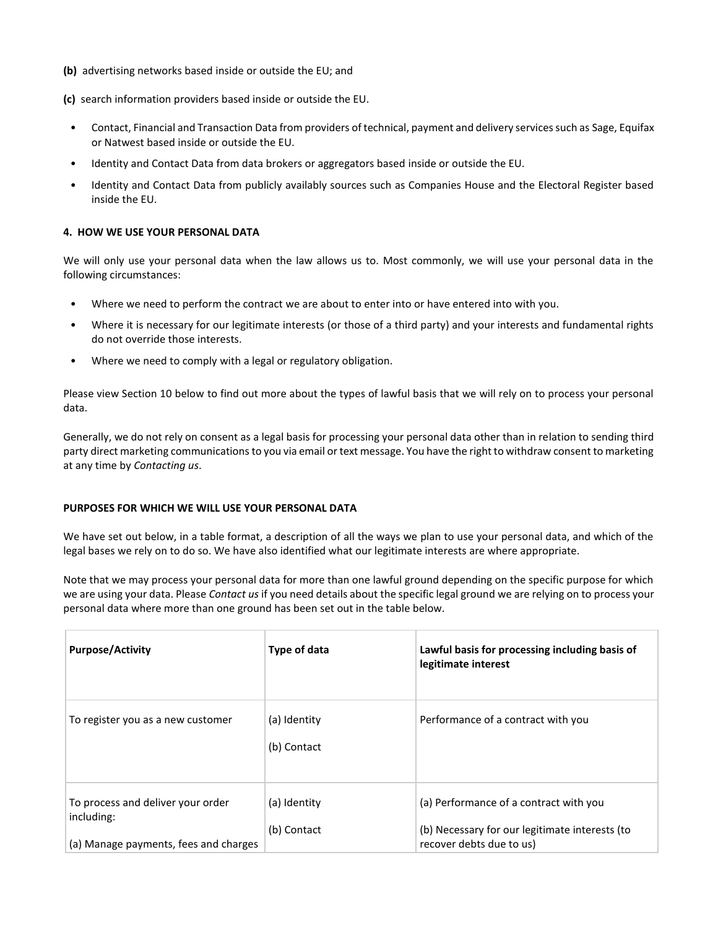- **(b)** advertising networks based inside or outside the EU; and
- **(c)** search information providers based inside or outside the EU.
- Contact, Financial and Transaction Data from providers of technical, payment and delivery services such as Sage, Equifax or Natwest based inside or outside the EU.
- Identity and Contact Data from data brokers or aggregators based inside or outside the EU.
- Identity and Contact Data from publicly availably sources such as Companies House and the Electoral Register based inside the EU.

## **4. HOW WE USE YOUR PERSONAL DATA**

We will only use your personal data when the law allows us to. Most commonly, we will use your personal data in the following circumstances:

- Where we need to perform the contract we are about to enter into or have entered into with you.
- Where it is necessary for our legitimate interests (or those of a third party) and your interests and fundamental rights do not override those interests.
- Where we need to comply with a legal or regulatory obligation.

Please view Section 10 below to find out more about the types of lawful basis that we will rely on to process your personal data.

Generally, we do not rely on consent as a legal basis for processing your personal data other than in relation to sending third party direct marketing communications to you via email or text message. You have the right to withdraw consent to marketing at any time by *[Contacting us](#page-1-0)*.

## **PURPOSES FOR WHICH WE WILL USE YOUR PERSONAL DATA**

We have set out below, in a table format, a description of all the ways we plan to use your personal data, and which of the legal bases we rely on to do so. We have also identified what our legitimate interests are where appropriate.

Note that we may process your personal data for more than one lawful ground depending on the specific purpose for which we are using your data. Please *[Contact us](#page-1-0)* if you need details about the specific legal ground we are relying on to process your personal data where more than one ground has been set out in the table below.

| <b>Purpose/Activity</b>                                                                  | Type of data                | Lawful basis for processing including basis of<br>legitimate interest                                                |
|------------------------------------------------------------------------------------------|-----------------------------|----------------------------------------------------------------------------------------------------------------------|
| To register you as a new customer                                                        | (a) Identity<br>(b) Contact | Performance of a contract with you                                                                                   |
| To process and deliver your order<br>including:<br>(a) Manage payments, fees and charges | (a) Identity<br>(b) Contact | (a) Performance of a contract with you<br>(b) Necessary for our legitimate interests (to<br>recover debts due to us) |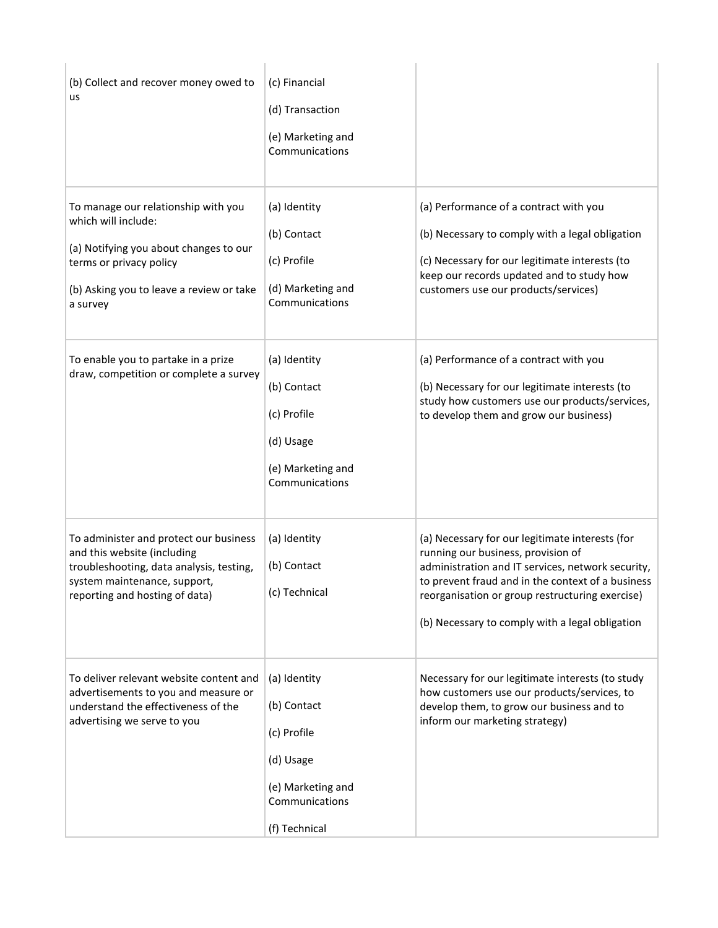| (b) Collect and recover money owed to<br>us                                                                                                                                             | (c) Financial<br>(d) Transaction<br>(e) Marketing and<br>Communications                        |                                                                                                                                                                                                                                                                                                       |
|-----------------------------------------------------------------------------------------------------------------------------------------------------------------------------------------|------------------------------------------------------------------------------------------------|-------------------------------------------------------------------------------------------------------------------------------------------------------------------------------------------------------------------------------------------------------------------------------------------------------|
| To manage our relationship with you<br>which will include:<br>(a) Notifying you about changes to our<br>terms or privacy policy<br>(b) Asking you to leave a review or take<br>a survey | (a) Identity<br>(b) Contact<br>(c) Profile<br>(d) Marketing and<br>Communications              | (a) Performance of a contract with you<br>(b) Necessary to comply with a legal obligation<br>(c) Necessary for our legitimate interests (to<br>keep our records updated and to study how<br>customers use our products/services)                                                                      |
| To enable you to partake in a prize<br>draw, competition or complete a survey                                                                                                           | (a) Identity<br>(b) Contact<br>(c) Profile<br>(d) Usage<br>(e) Marketing and<br>Communications | (a) Performance of a contract with you<br>(b) Necessary for our legitimate interests (to<br>study how customers use our products/services,<br>to develop them and grow our business)                                                                                                                  |
| To administer and protect our business<br>and this website (including<br>troubleshooting, data analysis, testing,<br>system maintenance, support,<br>reporting and hosting of data)     | (a) Identity<br>(b) Contact<br>(c) Technical                                                   | (a) Necessary for our legitimate interests (for<br>running our business, provision of<br>administration and IT services, network security,<br>to prevent fraud and in the context of a business<br>reorganisation or group restructuring exercise)<br>(b) Necessary to comply with a legal obligation |
| To deliver relevant website content and<br>advertisements to you and measure or<br>understand the effectiveness of the<br>advertising we serve to you                                   | (a) Identity<br>(b) Contact<br>(c) Profile<br>(d) Usage<br>(e) Marketing and<br>Communications | Necessary for our legitimate interests (to study<br>how customers use our products/services, to<br>develop them, to grow our business and to<br>inform our marketing strategy)                                                                                                                        |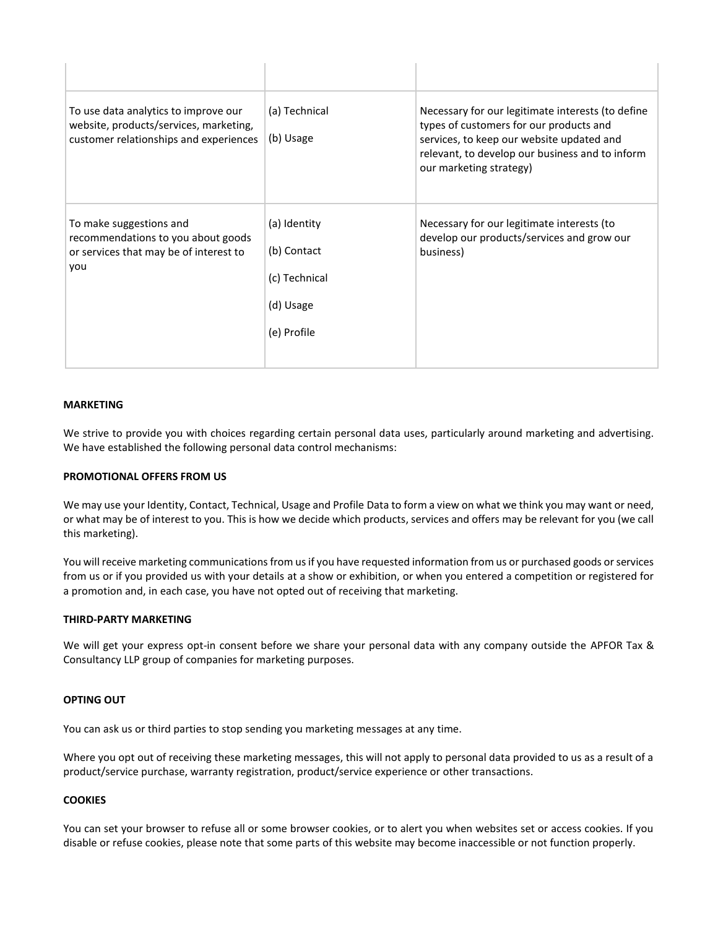| To use data analytics to improve our<br>website, products/services, marketing,<br>customer relationships and experiences | (a) Technical<br>(b) Usage                                               | Necessary for our legitimate interests (to define<br>types of customers for our products and<br>services, to keep our website updated and<br>relevant, to develop our business and to inform<br>our marketing strategy) |
|--------------------------------------------------------------------------------------------------------------------------|--------------------------------------------------------------------------|-------------------------------------------------------------------------------------------------------------------------------------------------------------------------------------------------------------------------|
| To make suggestions and<br>recommendations to you about goods<br>or services that may be of interest to<br>you           | (a) Identity<br>(b) Contact<br>(c) Technical<br>(d) Usage<br>(e) Profile | Necessary for our legitimate interests (to<br>develop our products/services and grow our<br>business)                                                                                                                   |

#### **MARKETING**

We strive to provide you with choices regarding certain personal data uses, particularly around marketing and advertising. We have established the following personal data control mechanisms:

#### **PROMOTIONAL OFFERS FROM US**

We may use your Identity, Contact, Technical, Usage and Profile Data to form a view on what we think you may want or need, or what may be of interest to you. This is how we decide which products, services and offers may be relevant for you (we call this marketing).

You will receive marketing communications from us if you have requested information from us or purchased goods or services from us or if you provided us with your details at a show or exhibition, or when you entered a competition or registered for a promotion and, in each case, you have not opted out of receiving that marketing.

# **THIRD-PARTY MARKETING**

We will get your express opt-in consent before we share your personal data with any company outside the APFOR Tax & Consultancy LLP group of companies for marketing purposes.

#### **OPTING OUT**

You can ask us or third parties to stop sending you marketing messages at any time.

Where you opt out of receiving these marketing messages, this will not apply to personal data provided to us as a result of a product/service purchase, warranty registration, product/service experience or other transactions.

# **COOKIES**

You can set your browser to refuse all or some browser cookies, or to alert you when websites set or access cookies. If you disable or refuse cookies, please note that some parts of this website may become inaccessible or not function properly.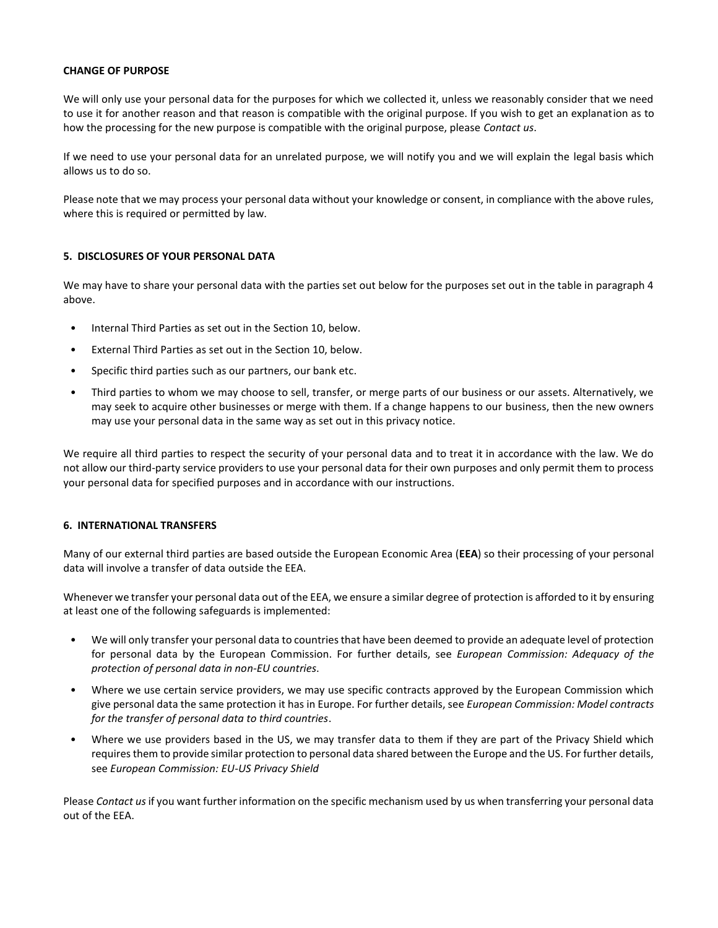## **CHANGE OF PURPOSE**

We will only use your personal data for the purposes for which we collected it, unless we reasonably consider that we need to use it for another reason and that reason is compatible with the original purpose. If you wish to get an explanation as to how the processing for the new purpose is compatible with the original purpose, please *[Contact us](#page-1-0)*.

If we need to use your personal data for an unrelated purpose, we will notify you and we will explain the legal basis which allows us to do so.

Please note that we may process your personal data without your knowledge or consent, in compliance with the above rules, where this is required or permitted by law.

## **5. DISCLOSURES OF YOUR PERSONAL DATA**

We may have to share your personal data with the parties set out below for the purposes set out in the table in paragraph 4 above.

- Internal Third Parties as set out in the Section 10, below.
- External Third Parties as set out in the Section 10, below.
- Specific third parties such as our partners, our bank etc.
- Third parties to whom we may choose to sell, transfer, or merge parts of our business or our assets. Alternatively, we may seek to acquire other businesses or merge with them. If a change happens to our business, then the new owners may use your personal data in the same way as set out in this privacy notice.

We require all third parties to respect the security of your personal data and to treat it in accordance with the law. We do not allow our third-party service providers to use your personal data for their own purposes and only permit them to process your personal data for specified purposes and in accordance with our instructions.

#### **6. INTERNATIONAL TRANSFERS**

Many of our external third parties are based outside the European Economic Area (**EEA**) so their processing of your personal data will involve a transfer of data outside the EEA.

Whenever we transfer your personal data out of the EEA, we ensure a similar degree of protection is afforded to it by ensuring at least one of the following safeguards is implemented:

- We will only transfer your personal data to countries that have been deemed to provide an adequate level of protection for personal data by the European Commission. For further details, see *[European Commission: Adequacy of the](https://ec.europa.eu/info/law/law-topic/data-protection/data-transfers-outside-eu/adequacy-protection-personal-data-non-eu-countries_en)  [protection of personal data in non-EU countries](https://ec.europa.eu/info/law/law-topic/data-protection/data-transfers-outside-eu/adequacy-protection-personal-data-non-eu-countries_en)*.
- Where we use certain service providers, we may use specific contracts approved by the European Commission which give personal data the same protection it has in Europe. For further details, see *[European Commission: Model contracts](https://ec.europa.eu/info/law/law-topic/data-protection/data-transfers-outside-eu/adequacy-protection-personal-data-non-eu-countries_en)  [for the transfer of personal data to third countries](https://ec.europa.eu/info/law/law-topic/data-protection/data-transfers-outside-eu/adequacy-protection-personal-data-non-eu-countries_en)*.
- Where we use providers based in the US, we may transfer data to them if they are part of the Privacy Shield which requires them to provide similar protection to personal data shared between the Europe and the US. For further details, see *[European Commission: EU-US Privacy](http://www.ico.org.uk)****/) Shield*

Please *[Contact us](#page-1-0)*if you want further information on the specific mechanism used by us when transferring your personal data out of the EEA.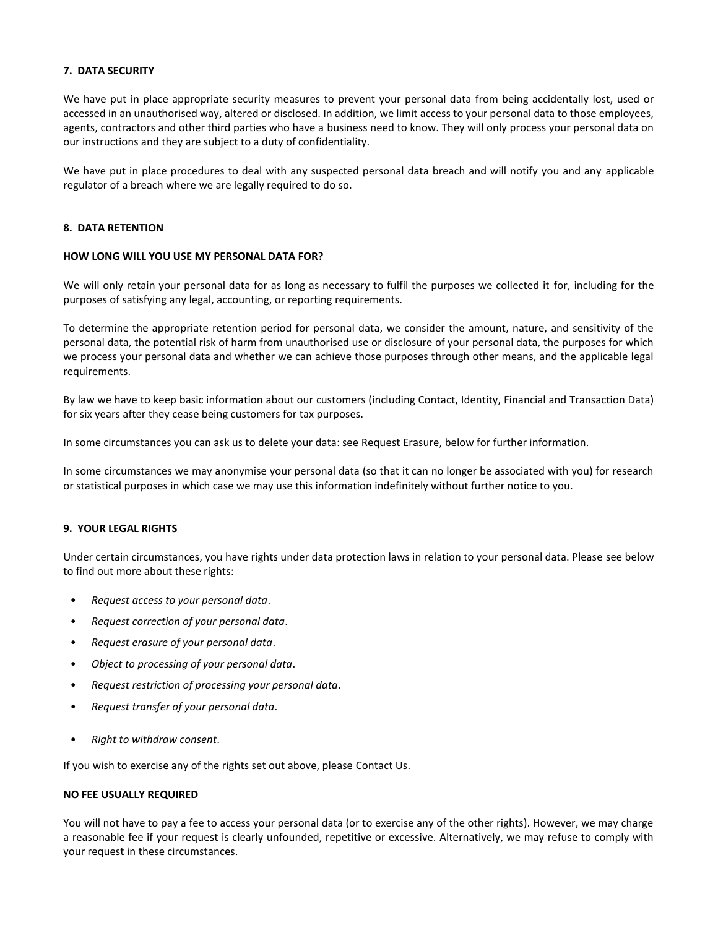#### **7. DATA SECURITY**

We have put in place appropriate security measures to prevent your personal data from being accidentally lost, used or accessed in an unauthorised way, altered or disclosed. In addition, we limit access to your personal data to those employees, agents, contractors and other third parties who have a business need to know. They will only process your personal data on our instructions and they are subject to a duty of confidentiality.

We have put in place procedures to deal with any suspected personal data breach and will notify you and any applicable regulator of a breach where we are legally required to do so.

## **8. DATA RETENTION**

## **HOW LONG WILL YOU USE MY PERSONAL DATA FOR?**

We will only retain your personal data for as long as necessary to fulfil the purposes we collected it for, including for the purposes of satisfying any legal, accounting, or reporting requirements.

To determine the appropriate retention period for personal data, we consider the amount, nature, and sensitivity of the personal data, the potential risk of harm from unauthorised use or disclosure of your personal data, the purposes for which we process your personal data and whether we can achieve those purposes through other means, and the applicable legal requirements.

By law we have to keep basic information about our customers (including Contact, Identity, Financial and Transaction Data) for six years after they cease being customers for tax purposes.

In some circumstances you can ask us to delete your data: see Request Erasure, below for further information.

In some circumstances we may anonymise your personal data (so that it can no longer be associated with you) for research or statistical purposes in which case we may use this information indefinitely without further notice to you.

# **9. YOUR LEGAL RIGHTS**

Under certain circumstances, you have rights under data protection laws in relation to your personal data. Please see below to find out more about these rights:

- *Request access to your personal data*.
- *Request correction of your personal data*.
- *Request erasure of your personal data*.
- *Object to processing of your personal data*.
- *Request restriction of processing your personal data*.
- *Request transfer of your personal data*.
- *Right to withdraw consent*.

If you wish to exercise any of the rights set out above, please Contact Us.

#### **NO FEE USUALLY REQUIRED**

You will not have to pay a fee to access your personal data (or to exercise any of the other rights). However, we may charge a reasonable fee if your request is clearly unfounded, repetitive or excessive. Alternatively, we may refuse to comply with your request in these circumstances.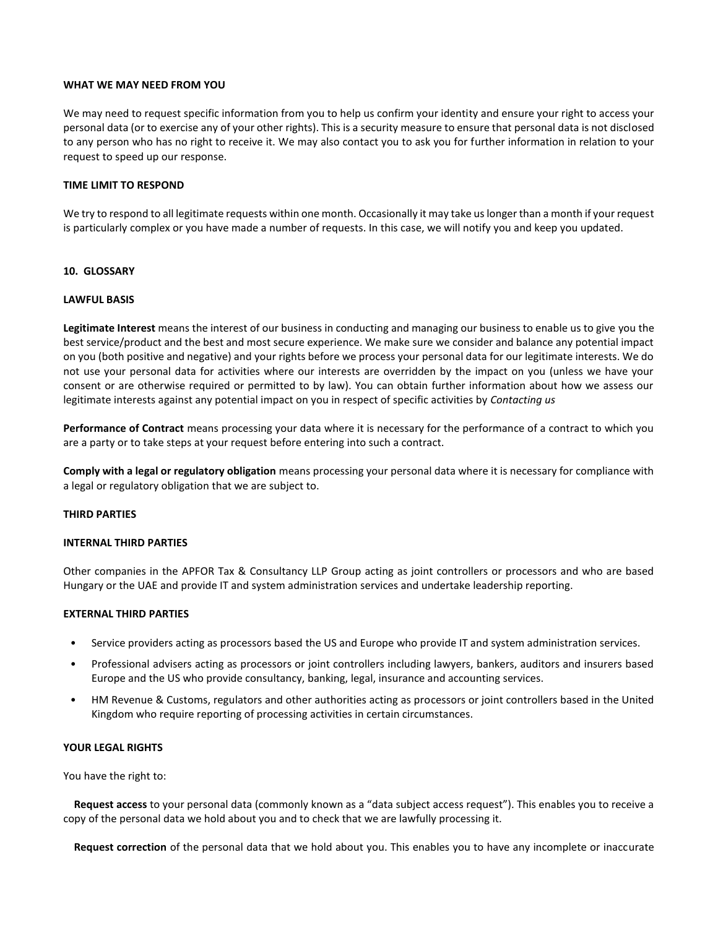## **WHAT WE MAY NEED FROM YOU**

We may need to request specific information from you to help us confirm your identity and ensure your right to access your personal data (or to exercise any of your other rights). This is a security measure to ensure that personal data is not disclosed to any person who has no right to receive it. We may also contact you to ask you for further information in relation to your request to speed up our response.

#### **TIME LIMIT TO RESPOND**

We try to respond to all legitimate requests within one month. Occasionally it may take us longer than a month if your request is particularly complex or you have made a number of requests. In this case, we will notify you and keep you updated.

## **10. GLOSSARY**

#### **LAWFUL BASIS**

**Legitimate Interest** means the interest of our business in conducting and managing our business to enable us to give you the best service/product and the best and most secure experience. We make sure we consider and balance any potential impact on you (both positive and negative) and your rights before we process your personal data for our legitimate interests. We do not use your personal data for activities where our interests are overridden by the impact on you (unless we have your consent or are otherwise required or permitted to by law). You can obtain further information about how we assess our legitimate interests against any potential impact on you in respect of specific activities by *[Contacting us](#page-1-0)*

**Performance of Contract** means processing your data where it is necessary for the performance of a contract to which you are a party or to take steps at your request before entering into such a contract.

**Comply with a legal or regulatory obligation** means processing your personal data where it is necessary for compliance with a legal or regulatory obligation that we are subject to.

#### **THIRD PARTIES**

#### **INTERNAL THIRD PARTIES**

Other companies in the APFOR Tax & Consultancy LLP Group acting as joint controllers or processors and who are based Hungary or the UAE and provide IT and system administration services and undertake leadership reporting.

#### **EXTERNAL THIRD PARTIES**

- Service providers acting as processors based the US and Europe who provide IT and system administration services.
- Professional advisers acting as processors or joint controllers including lawyers, bankers, auditors and insurers based Europe and the US who provide consultancy, banking, legal, insurance and accounting services.
- HM Revenue & Customs, regulators and other authorities acting as processors or joint controllers based in the United Kingdom who require reporting of processing activities in certain circumstances.

# **YOUR LEGAL RIGHTS**

You have the right to:

**Request access** to your personal data (commonly known as a "data subject access request"). This enables you to receive a copy of the personal data we hold about you and to check that we are lawfully processing it.

**Request correction** of the personal data that we hold about you. This enables you to have any incomplete or inaccurate